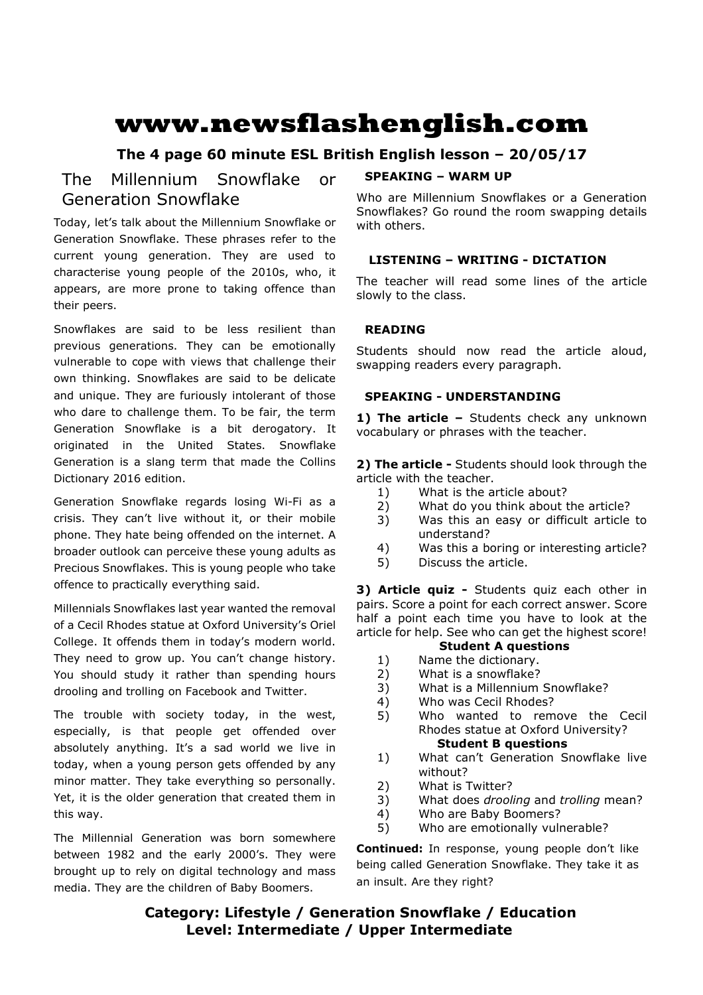# **www.newsflashenglish.com**

# **The 4 page 60 minute ESL British English lesson – 20/05/17**

# The Millennium Snowflake or Generation Snowflake

Today, let's talk about the Millennium Snowflake or Generation Snowflake. These phrases refer to the current young generation. They are used to characterise young people of the 2010s, who, it appears, are more prone to taking offence than their peers.

Snowflakes are said to be less resilient than previous generations. They can be emotionally vulnerable to cope with views that challenge their own thinking. Snowflakes are said to be delicate and unique. They are furiously intolerant of those who dare to challenge them. To be fair, the term Generation Snowflake is a bit derogatory. It originated in the United States. Snowflake Generation is a slang term that made the Collins Dictionary 2016 edition.

Generation Snowflake regards losing Wi-Fi as a crisis. They can't live without it, or their mobile phone. They hate being offended on the internet. A broader outlook can perceive these young adults as Precious Snowflakes. This is young people who take offence to practically everything said.

Millennials Snowflakes last year wanted the removal of a Cecil Rhodes statue at Oxford University's Oriel College. It offends them in today's modern world. They need to grow up. You can't change history. You should study it rather than spending hours drooling and trolling on Facebook and Twitter.

The trouble with society today, in the west, especially, is that people get offended over absolutely anything. It's a sad world we live in today, when a young person gets offended by any minor matter. They take everything so personally. Yet, it is the older generation that created them in this way.

The Millennial Generation was born somewhere between 1982 and the early 2000's. They were brought up to rely on digital technology and mass media. They are the children of Baby Boomers.

# **SPEAKING – WARM UP**

Who are Millennium Snowflakes or a Generation Snowflakes? Go round the room swapping details with others.

# **LISTENING – WRITING - DICTATION**

The teacher will read some lines of the article slowly to the class.

# **READING**

Students should now read the article aloud, swapping readers every paragraph.

# **SPEAKING - UNDERSTANDING**

1) The article - Students check any unknown vocabulary or phrases with the teacher.

**2) The article -** Students should look through the article with the teacher.

- 1) What is the article about?
- 2) What do you think about the article?
- 3) Was this an easy or difficult article to understand?
- 4) Was this a boring or interesting article?
- 5) Discuss the article.

**3) Article quiz -** Students quiz each other in pairs. Score a point for each correct answer. Score half a point each time you have to look at the article for help. See who can get the highest score!

# **Student A questions**

- 1) Name the dictionary.
- 2) What is a snowflake?
- 3) What is a Millennium Snowflake?
- 4) Who was Cecil Rhodes?
- 5) Who wanted to remove the Cecil Rhodes statue at Oxford University? **Student B questions**
- 1) What can't Generation Snowflake live without?
- 2) What is Twitter?
- 3) What does *drooling* and *trolling* mean?
- 4) Who are Baby Boomers?
- 5) Who are emotionally vulnerable?

**Continued:** In response, young people don't like being called Generation Snowflake. They take it as an insult. Are they right?

# **Category: Lifestyle / Generation Snowflake / Education Level: Intermediate / Upper Intermediate**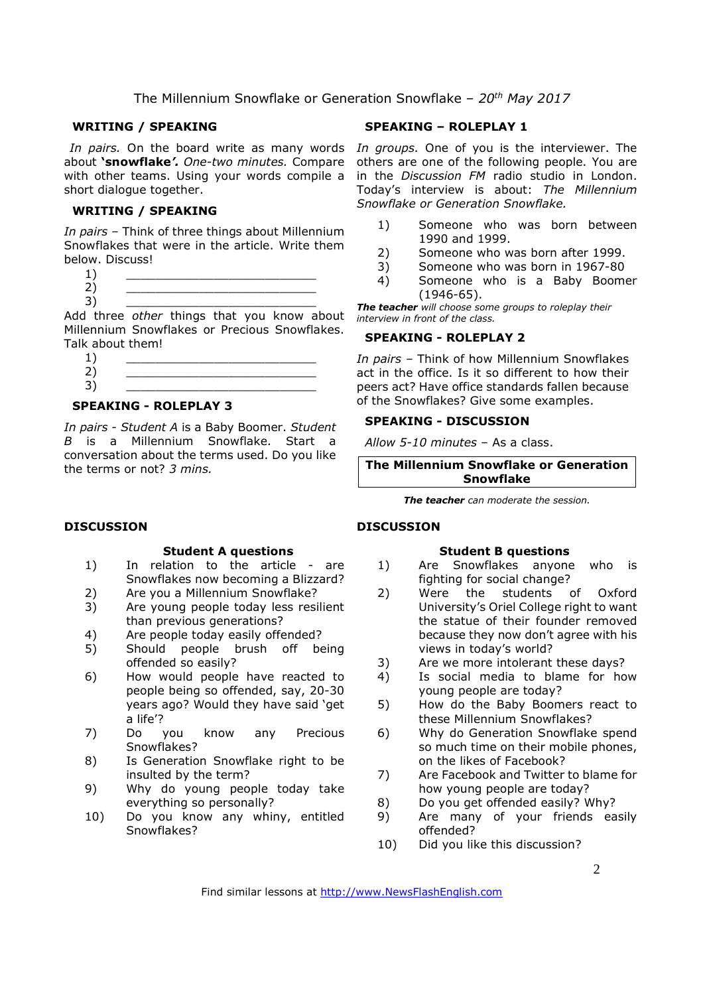### **WRITING / SPEAKING**

about **'snowflake***'. One-two minutes.* Compare with other teams. Using your words compile a short dialogue together.

### **WRITING / SPEAKING**

*In pairs* – Think of three things about Millennium Snowflakes that were in the article. Write them below. Discuss!

 $1)$   $\qquad \qquad$ 2) \_\_\_\_\_\_\_\_\_\_\_\_\_\_\_\_\_\_\_\_\_\_\_\_\_\_ 3) \_\_\_\_\_\_\_\_\_\_\_\_\_\_\_\_\_\_\_\_\_\_\_\_\_\_

Add three *other* things that you know about Millennium Snowflakes or Precious Snowflakes. Talk about them!

### **SPEAKING - ROLEPLAY 3**

*In pairs - Student A* is a Baby Boomer. *Student B* is a Millennium Snowflake. Start a conversation about the terms used. Do you like the terms or not? *3 mins.* 

### **DISCUSSION**

### **Student A questions**

- 1) In relation to the article are Snowflakes now becoming a Blizzard?
- 2) Are you a Millennium Snowflake?
- 3) Are young people today less resilient than previous generations?
- 4) Are people today easily offended?
- 5) Should people brush off being offended so easily?
- 6) How would people have reacted to people being so offended, say, 20-30 years ago? Would they have said 'get a life'?
- 7) Do you know any Precious Snowflakes?
- 8) Is Generation Snowflake right to be insulted by the term?
- 9) Why do young people today take everything so personally?
- 10) Do you know any whiny, entitled Snowflakes?

# **SPEAKING – ROLEPLAY 1**

In pairs. On the board write as many words In groups. One of you is the interviewer. The others are one of the following people. You are in the *Discussion FM* radio studio in London. Today's interview is about: *The Millennium Snowflake or Generation Snowflake.*

- 1) Someone who was born between 1990 and 1999.
- 2) Someone who was born after 1999.
- 3) Someone who was born in 1967-80
- 4) Someone who is a Baby Boomer (1946-65).

*The teacher will choose some groups to roleplay their interview in front of the class.* 

### **SPEAKING - ROLEPLAY 2**

*In pairs –* Think of how Millennium Snowflakes act in the office. Is it so different to how their peers act? Have office standards fallen because of the Snowflakes? Give some examples.

# **SPEAKING - DISCUSSION**

*Allow 5-10 minutes* – As a class.

**The Millennium Snowflake or Generation Snowflake** 

*The teacher can moderate the session.*

# **DISCUSSION**

### **Student B questions**

- 1) Are Snowflakes anyone who is fighting for social change?
- 2) Were the students of Oxford University's Oriel College right to want the statue of their founder removed because they now don't agree with his views in today's world?
- 3) Are we more intolerant these days?
- 4) Is social media to blame for how young people are today?
- 5) How do the Baby Boomers react to these Millennium Snowflakes?
- 6) Why do Generation Snowflake spend so much time on their mobile phones, on the likes of Facebook?
- 7) Are Facebook and Twitter to blame for how young people are today?
- 8) Do you get offended easily? Why?
- 9) Are many of your friends easily offended?
- 10) Did you like this discussion?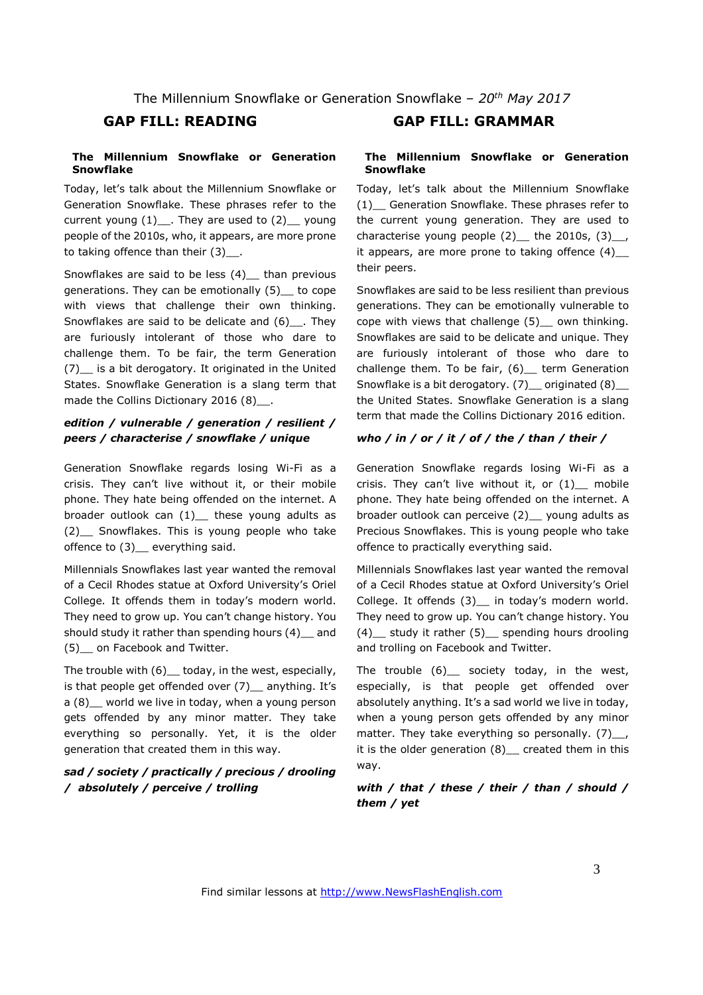### **The Millennium Snowflake or Generation Snowflake**

Today, let's talk about the Millennium Snowflake or Generation Snowflake. These phrases refer to the current young  $(1)$  . They are used to  $(2)$  young people of the 2010s, who, it appears, are more prone to taking offence than their  $(3)$ .

Snowflakes are said to be less (4)\_\_ than previous generations. They can be emotionally (5)\_\_ to cope with views that challenge their own thinking. Snowflakes are said to be delicate and (6) They are furiously intolerant of those who dare to challenge them. To be fair, the term Generation (7)\_\_ is a bit derogatory. It originated in the United States. Snowflake Generation is a slang term that made the Collins Dictionary 2016 (8)...

# *edition / vulnerable / generation / resilient / peers / characterise / snowflake / unique*

Generation Snowflake regards losing Wi-Fi as a crisis. They can't live without it, or their mobile phone. They hate being offended on the internet. A broader outlook can  $(1)$  these young adults as (2)\_\_ Snowflakes. This is young people who take offence to (3) everything said.

Millennials Snowflakes last year wanted the removal of a Cecil Rhodes statue at Oxford University's Oriel College. It offends them in today's modern world. They need to grow up. You can't change history. You should study it rather than spending hours (4)\_\_ and (5)\_\_ on Facebook and Twitter.

The trouble with  $(6)$  today, in the west, especially, is that people get offended over (7) anything. It's a (8)\_\_ world we live in today, when a young person gets offended by any minor matter. They take everything so personally. Yet, it is the older generation that created them in this way.

# *sad / society / practically / precious / drooling / absolutely / perceive / trolling*

# **GAP FILL: READING GAP FILL: GRAMMAR**

### **The Millennium Snowflake or Generation Snowflake**

Today, let's talk about the Millennium Snowflake (1)\_\_ Generation Snowflake. These phrases refer to the current young generation. They are used to characterise young people  $(2)$  the 2010s,  $(3)$ , it appears, are more prone to taking offence  $(4)$ \_ their peers.

Snowflakes are said to be less resilient than previous generations. They can be emotionally vulnerable to cope with views that challenge (5)\_\_ own thinking. Snowflakes are said to be delicate and unique. They are furiously intolerant of those who dare to challenge them. To be fair, (6) term Generation Snowflake is a bit derogatory. (7) \_\_ originated (8) \_\_ the United States. Snowflake Generation is a slang term that made the Collins Dictionary 2016 edition.

### *who / in / or / it / of / the / than / their /*

Generation Snowflake regards losing Wi-Fi as a crisis. They can't live without it, or  $(1)$  mobile phone. They hate being offended on the internet. A broader outlook can perceive (2)\_\_ young adults as Precious Snowflakes. This is young people who take offence to practically everything said.

Millennials Snowflakes last year wanted the removal of a Cecil Rhodes statue at Oxford University's Oriel College. It offends (3) \_ in today's modern world. They need to grow up. You can't change history. You (4)\_\_ study it rather (5)\_\_ spending hours drooling and trolling on Facebook and Twitter.

The trouble  $(6)$  society today, in the west, especially, is that people get offended over absolutely anything. It's a sad world we live in today, when a young person gets offended by any minor matter. They take everything so personally. (7) . it is the older generation (8)\_\_ created them in this way.

# *with / that / these / their / than / should / them / yet*